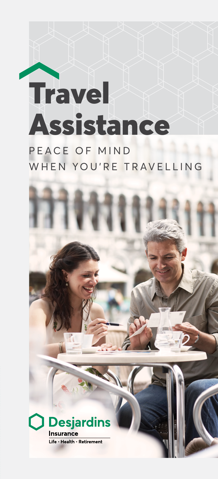# **Travel** Assistance

PEACE OF MIND WHEN YOU'RE TRAVELLING

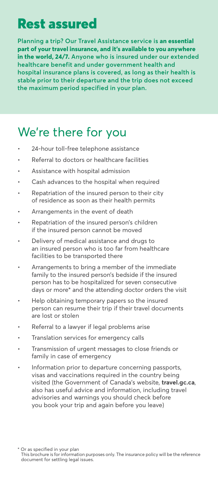# Rest assured

**Planning a trip? Our Travel Assistance service is an essential part of your travel insurance, and it's available to you anywhere in the world, 24/7. Anyone who is insured under our extended healthcare benefit and under government health and hospital insurance plans is covered, as long as their health is stable prior to their departure and the trip does not exceed the maximum period specified in your plan.**

# We're there for you

- 24-hour toll-free telephone assistance
- Referral to doctors or healthcare facilities
- Assistance with hospital admission
- Cash advances to the hospital when required
- Repatriation of the insured person to their city of residence as soon as their health permits
- Arrangements in the event of death
- Repatriation of the insured person's children if the insured person cannot be moved
- Delivery of medical assistance and drugs to an insured person who is too far from healthcare facilities to be transported there
- Arrangements to bring a member of the immediate family to the insured person's bedside if the insured person has to be hospitalized for seven consecutive days or more\* and the attending doctor orders the visit
- Help obtaining temporary papers so the insured person can resume their trip if their travel documents are lost or stolen
- Referral to a lawyer if legal problems arise
- Translation services for emergency calls
- Transmission of urgent messages to close friends or family in case of emergency
- Information prior to departure concerning passports, visas and vaccinations required in the country being visited (the Government of Canada's website, **[travel.gc.ca](http://travel.gc.ca)**, also has useful advice and information, including travel advisories and warnings you should check before you book your trip and again before you leave)

\* Or as specified in your plan This brochure is for information purposes only. The insurance policy will be the reference document for settling legal issues.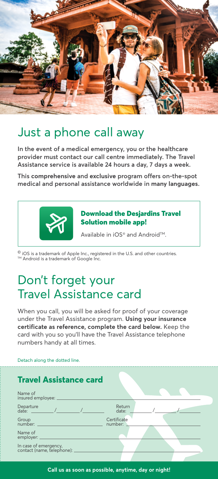

## Just a phone call away

**In the event of a medical emergency, you or the healthcare provider must contact our call centre immediately. The Travel Assistance service is available 24 hours a day, 7 days a week.**

**This comprehensive and exclusive program offers on-the-spot medical and personal assistance worldwide in many languages.**



#### Download the Desjardins Travel Solution mobile app!

Available in iOS<sup>®</sup> and Android<sup>™</sup>.

© iOS is a trademark of Apple Inc., registered in the U.S. and other countries. ™ Android is a trademark of Google Inc.

## Don't forget your Travel Assistance card

When you call, you will be asked for proof of your coverage under the Travel Assistance program. **Using your insurance certificate as reference, complete the card below.** Keep the card with you so you'll have the Travel Assistance telephone numbers handy at all times.

| Detach along the dotted line. |  |  |  |
|-------------------------------|--|--|--|
|-------------------------------|--|--|--|

| <b>Travel Assistance card</b> |
|-------------------------------|
|-------------------------------|

| Name of<br>insured employee: _                              |                        |
|-------------------------------------------------------------|------------------------|
|                                                             | Return<br>date:        |
| Group<br>number:                                            | Certificate<br>number: |
| Name of<br>employer:                                        |                        |
| In case of emergency,<br>contact (name, telephone): _______ |                        |
|                                                             |                        |

**Call us as soon as possible, anytime, day or night!**